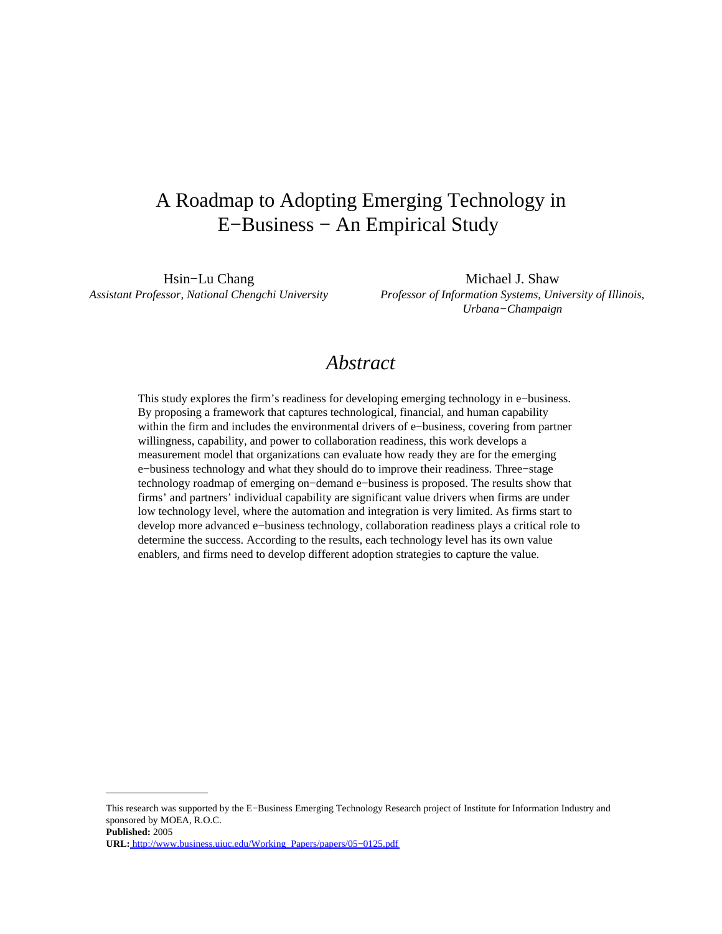# A Roadmap to Adopting Emerging Technology in E−Business − An Empirical Study

Hsin–Lu Chang Michael J. Shaw *Assistant Professor, National Chengchi University Professor of Information Systems, University of Illinois, Urbana−Champaign*

# *Abstract*

This study explores the firm's readiness for developing emerging technology in e−business. By proposing a framework that captures technological, financial, and human capability within the firm and includes the environmental drivers of e−business, covering from partner willingness, capability, and power to collaboration readiness, this work develops a measurement model that organizations can evaluate how ready they are for the emerging e−business technology and what they should do to improve their readiness. Three−stage technology roadmap of emerging on−demand e−business is proposed. The results show that firms' and partners' individual capability are significant value drivers when firms are under low technology level, where the automation and integration is very limited. As firms start to develop more advanced e−business technology, collaboration readiness plays a critical role to determine the success. According to the results, each technology level has its own value enablers, and firms need to develop different adoption strategies to capture the value.

**Published:** 2005

This research was supported by the E−Business Emerging Technology Research project of Institute for Information Industry and sponsored by MOEA, R.O.C.

**URL:** [http://www.business.uiuc.edu/Working\\_Papers/papers/05−0125.pdf](http://www.business.uiuc.edu/Working_Papers/papers/05-0125.pdf)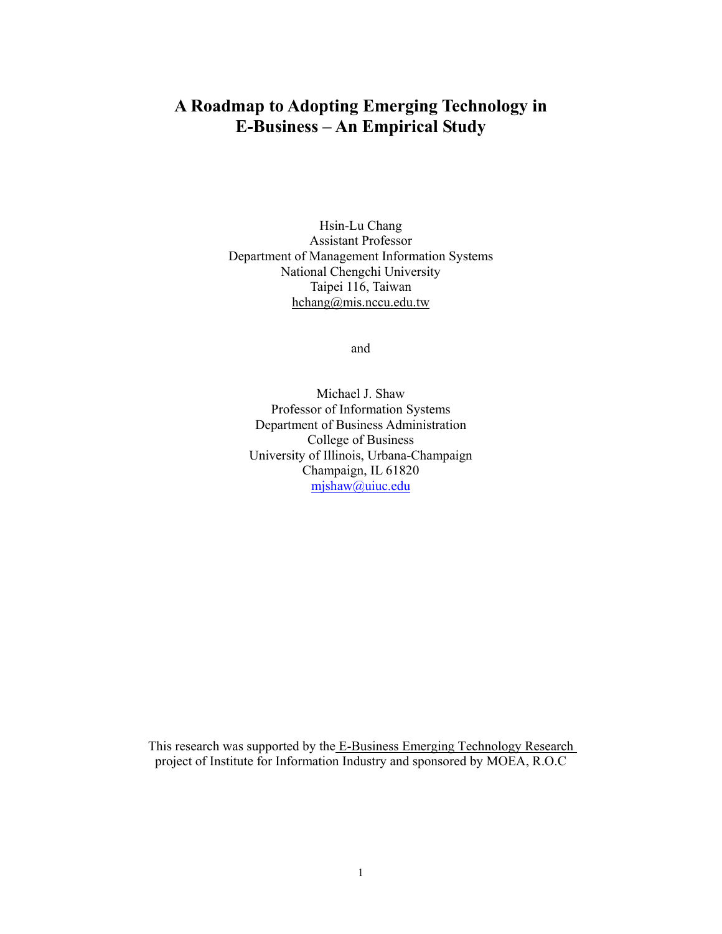# **A Roadmap to Adopting Emerging Technology in E-Business – An Empirical Study**

Hsin-Lu Chang Assistant Professor Department of Management Information Systems National Chengchi University Taipei 116, Taiwan hchang@mis.nccu.edu.tw

and

Michael J. Shaw Professor of Information Systems Department of Business Administration College of Business University of Illinois, Urbana-Champaign Champaign, IL 61820 mjshaw@uiuc.edu

This research was supported by the E-Business Emerging Technology Research project of Institute for Information Industry and sponsored by MOEA, R.O.C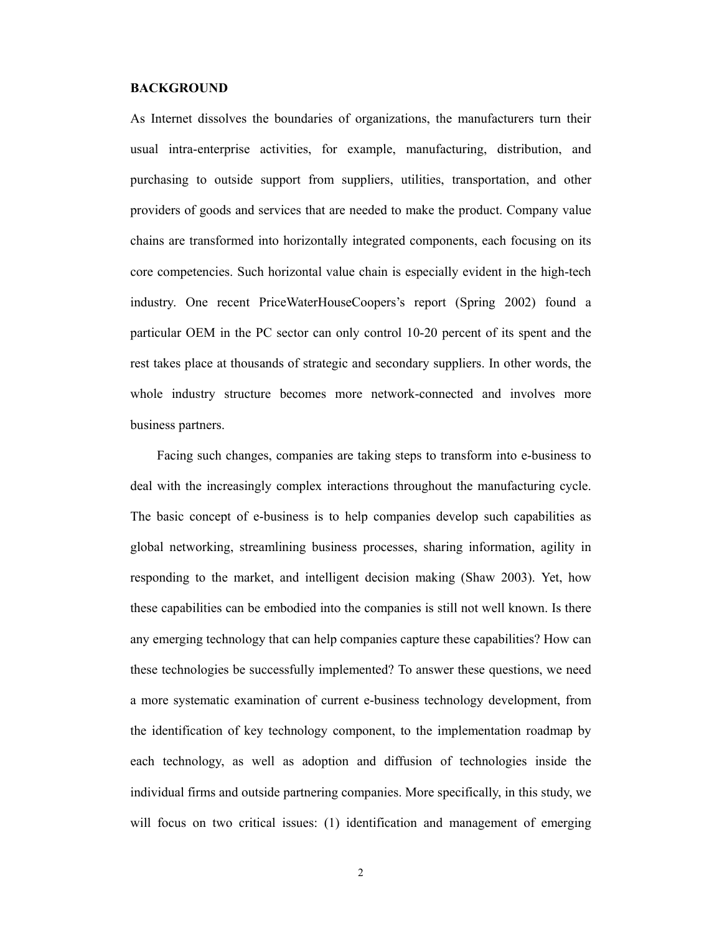### **BACKGROUND**

As Internet dissolves the boundaries of organizations, the manufacturers turn their usual intra-enterprise activities, for example, manufacturing, distribution, and purchasing to outside support from suppliers, utilities, transportation, and other providers of goods and services that are needed to make the product. Company value chains are transformed into horizontally integrated components, each focusing on its core competencies. Such horizontal value chain is especially evident in the high-tech industry. One recent PriceWaterHouseCoopers's report (Spring 2002) found a particular OEM in the PC sector can only control 10-20 percent of its spent and the rest takes place at thousands of strategic and secondary suppliers. In other words, the whole industry structure becomes more network-connected and involves more business partners.

Facing such changes, companies are taking steps to transform into e-business to deal with the increasingly complex interactions throughout the manufacturing cycle. The basic concept of e-business is to help companies develop such capabilities as global networking, streamlining business processes, sharing information, agility in responding to the market, and intelligent decision making (Shaw 2003). Yet, how these capabilities can be embodied into the companies is still not well known. Is there any emerging technology that can help companies capture these capabilities? How can these technologies be successfully implemented? To answer these questions, we need a more systematic examination of current e-business technology development, from the identification of key technology component, to the implementation roadmap by each technology, as well as adoption and diffusion of technologies inside the individual firms and outside partnering companies. More specifically, in this study, we will focus on two critical issues: (1) identification and management of emerging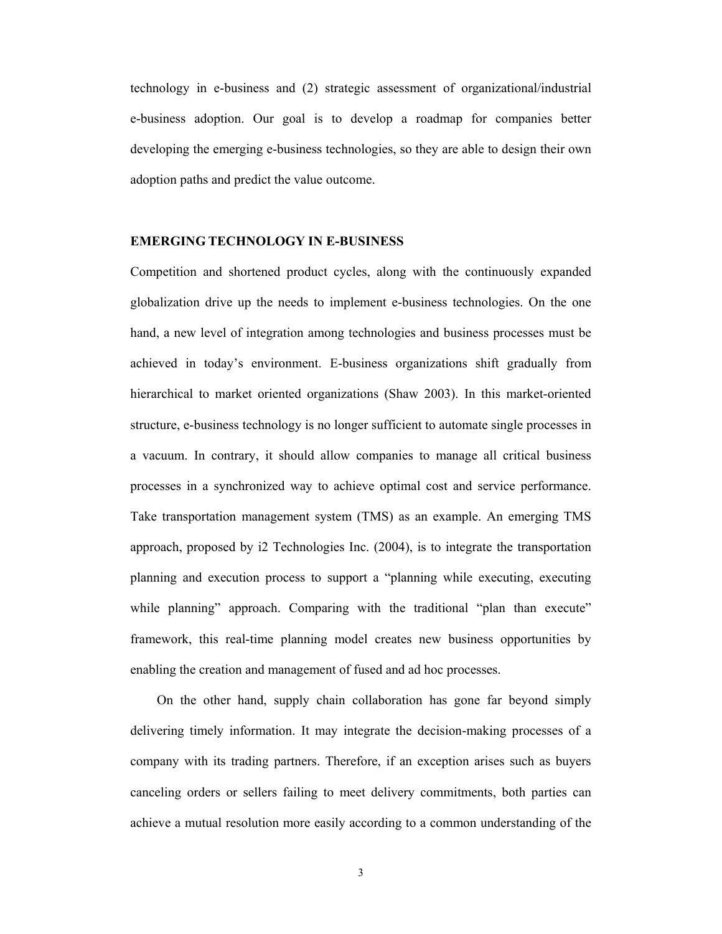technology in e-business and (2) strategic assessment of organizational/industrial e-business adoption. Our goal is to develop a roadmap for companies better developing the emerging e-business technologies, so they are able to design their own adoption paths and predict the value outcome.

## **EMERGING TECHNOLOGY IN E-BUSINESS**

Competition and shortened product cycles, along with the continuously expanded globalization drive up the needs to implement e-business technologies. On the one hand, a new level of integration among technologies and business processes must be achieved in today's environment. E-business organizations shift gradually from hierarchical to market oriented organizations (Shaw 2003). In this market-oriented structure, e-business technology is no longer sufficient to automate single processes in a vacuum. In contrary, it should allow companies to manage all critical business processes in a synchronized way to achieve optimal cost and service performance. Take transportation management system (TMS) as an example. An emerging TMS approach, proposed by i2 Technologies Inc. (2004), is to integrate the transportation planning and execution process to support a "planning while executing, executing while planning" approach. Comparing with the traditional "plan than execute" framework, this real-time planning model creates new business opportunities by enabling the creation and management of fused and ad hoc processes.

On the other hand, supply chain collaboration has gone far beyond simply delivering timely information. It may integrate the decision-making processes of a company with its trading partners. Therefore, if an exception arises such as buyers canceling orders or sellers failing to meet delivery commitments, both parties can achieve a mutual resolution more easily according to a common understanding of the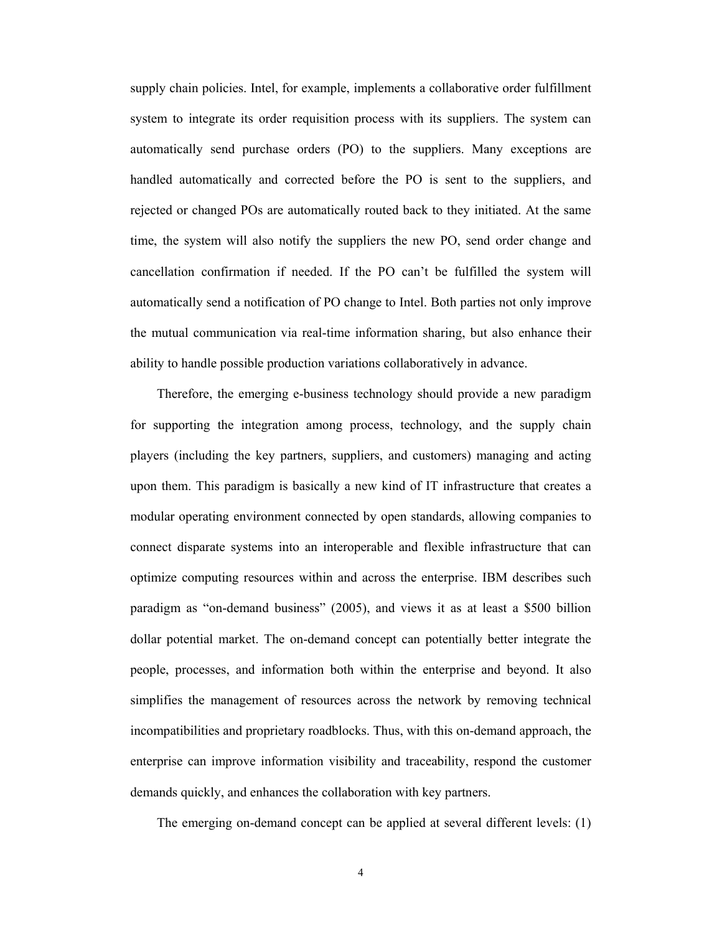supply chain policies. Intel, for example, implements a collaborative order fulfillment system to integrate its order requisition process with its suppliers. The system can automatically send purchase orders (PO) to the suppliers. Many exceptions are handled automatically and corrected before the PO is sent to the suppliers, and rejected or changed POs are automatically routed back to they initiated. At the same time, the system will also notify the suppliers the new PO, send order change and cancellation confirmation if needed. If the PO can't be fulfilled the system will automatically send a notification of PO change to Intel. Both parties not only improve the mutual communication via real-time information sharing, but also enhance their ability to handle possible production variations collaboratively in advance.

Therefore, the emerging e-business technology should provide a new paradigm for supporting the integration among process, technology, and the supply chain players (including the key partners, suppliers, and customers) managing and acting upon them. This paradigm is basically a new kind of IT infrastructure that creates a modular operating environment connected by open standards, allowing companies to connect disparate systems into an interoperable and flexible infrastructure that can optimize computing resources within and across the enterprise. IBM describes such paradigm as "on-demand business" (2005), and views it as at least a \$500 billion dollar potential market. The on-demand concept can potentially better integrate the people, processes, and information both within the enterprise and beyond. It also simplifies the management of resources across the network by removing technical incompatibilities and proprietary roadblocks. Thus, with this on-demand approach, the enterprise can improve information visibility and traceability, respond the customer demands quickly, and enhances the collaboration with key partners.

The emerging on-demand concept can be applied at several different levels: (1)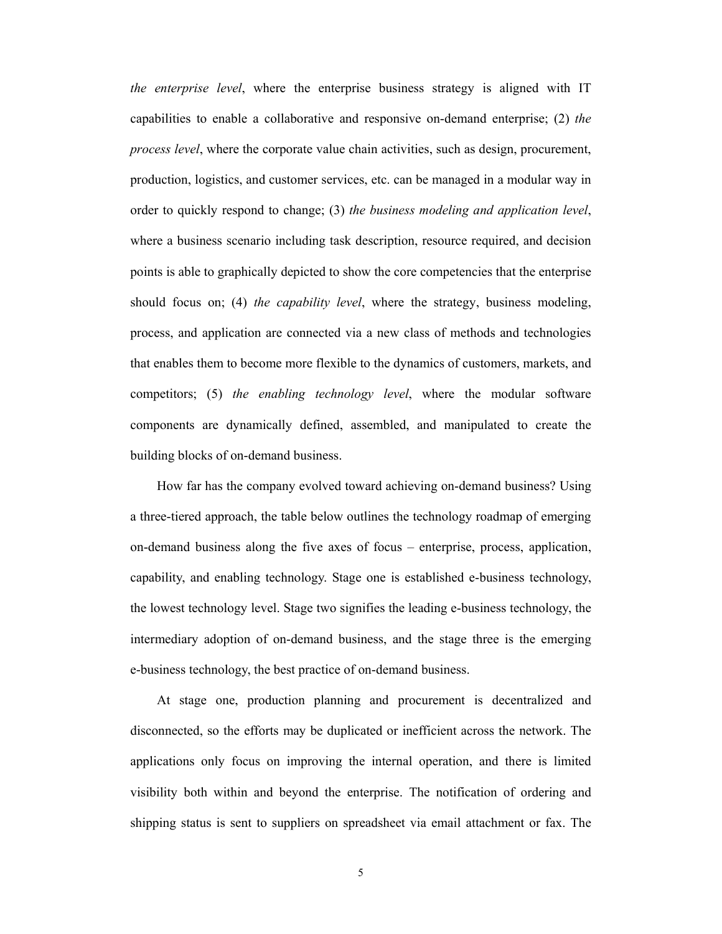*the enterprise level*, where the enterprise business strategy is aligned with IT capabilities to enable a collaborative and responsive on-demand enterprise; (2) *the process level*, where the corporate value chain activities, such as design, procurement, production, logistics, and customer services, etc. can be managed in a modular way in order to quickly respond to change; (3) *the business modeling and application level*, where a business scenario including task description, resource required, and decision points is able to graphically depicted to show the core competencies that the enterprise should focus on; (4) *the capability level*, where the strategy, business modeling, process, and application are connected via a new class of methods and technologies that enables them to become more flexible to the dynamics of customers, markets, and competitors; (5) *the enabling technology level*, where the modular software components are dynamically defined, assembled, and manipulated to create the building blocks of on-demand business.

How far has the company evolved toward achieving on-demand business? Using a three-tiered approach, the table below outlines the technology roadmap of emerging on-demand business along the five axes of focus – enterprise, process, application, capability, and enabling technology. Stage one is established e-business technology, the lowest technology level. Stage two signifies the leading e-business technology, the intermediary adoption of on-demand business, and the stage three is the emerging e-business technology, the best practice of on-demand business.

At stage one, production planning and procurement is decentralized and disconnected, so the efforts may be duplicated or inefficient across the network. The applications only focus on improving the internal operation, and there is limited visibility both within and beyond the enterprise. The notification of ordering and shipping status is sent to suppliers on spreadsheet via email attachment or fax. The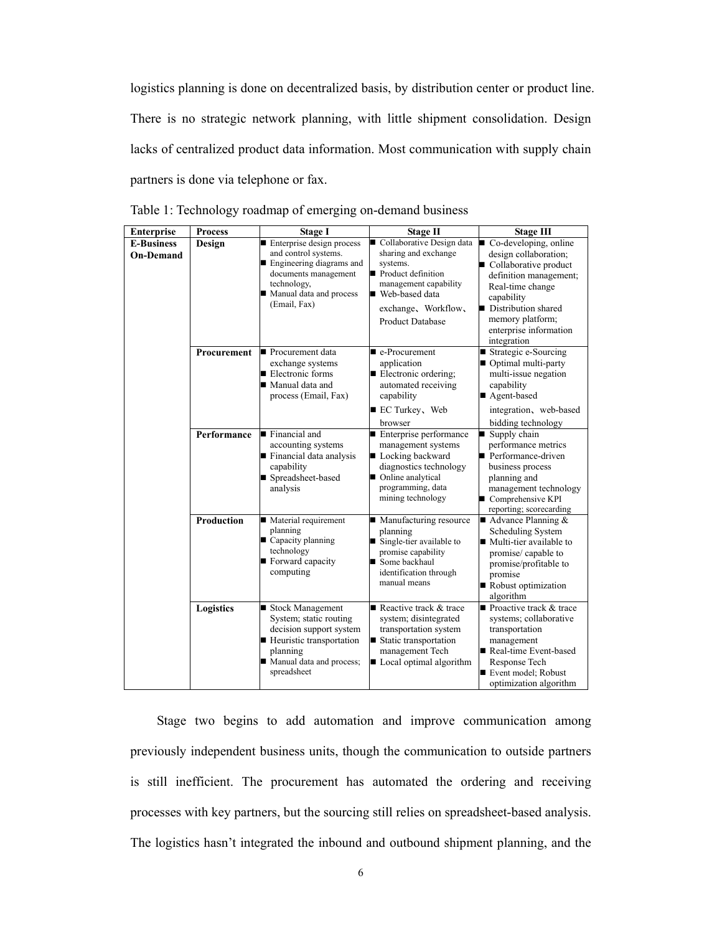logistics planning is done on decentralized basis, by distribution center or product line. There is no strategic network planning, with little shipment consolidation. Design lacks of centralized product data information. Most communication with supply chain partners is done via telephone or fax.

| <b>Enterprise</b>                     | <b>Process</b>    | <b>Stage I</b>                                                                                                                                                                 | <b>Stage II</b>                                                                                                                                                                    | <b>Stage III</b>                                                                                                                                                                                                        |
|---------------------------------------|-------------------|--------------------------------------------------------------------------------------------------------------------------------------------------------------------------------|------------------------------------------------------------------------------------------------------------------------------------------------------------------------------------|-------------------------------------------------------------------------------------------------------------------------------------------------------------------------------------------------------------------------|
| <b>E-Business</b><br><b>On-Demand</b> | Design            | Enterprise design process<br>and control systems.<br>$\blacksquare$ Engineering diagrams and<br>documents management<br>technology,<br>Manual data and process<br>(Email, Fax) | Collaborative Design data<br>sharing and exchange<br>systems.<br>Product definition<br>management capability<br>■ Web-based data<br>exchange, Workflow,<br><b>Product Database</b> | Co-developing, online<br>design collaboration;<br>Collaborative product<br>definition management;<br>Real-time change<br>capability<br>Distribution shared<br>memory platform;<br>enterprise information<br>integration |
|                                       | Procurement       | Procurement data<br>exchange systems<br>$\blacksquare$ Electronic forms<br>■ Manual data and<br>process (Email, Fax)                                                           | $\blacksquare$ e-Procurement<br>application<br>Electronic ordering;<br>automated receiving<br>capability<br>■ EC Turkey, Web<br>browser                                            | ■ Strategic e-Sourcing<br>Optimal multi-party<br>multi-issue negation<br>capability<br>■ Agent-based<br>integration, web-based<br>bidding technology                                                                    |
|                                       | Performance       | $\blacksquare$ Financial and<br>accounting systems<br>Financial data analysis<br>capability<br>■ Spreadsheet-based<br>analysis                                                 | Enterprise performance<br>management systems<br>■ Locking backward<br>diagnostics technology<br>■ Online analytical<br>programming, data<br>mining technology                      | Supply chain<br>performance metrics<br>Performance-driven<br>business process<br>planning and<br>management technology<br>Comprehensive KPI<br>reporting; scorecarding                                                  |
|                                       | <b>Production</b> | ■ Material requirement<br>planning<br>■ Capacity planning<br>technology<br>Forward capacity<br>computing                                                                       | ■ Manufacturing resource<br>planning<br>$\blacksquare$ Single-tier available to<br>promise capability<br>Some backhaul<br>identification through<br>manual means                   | $\blacksquare$ Advance Planning &<br>Scheduling System<br>$\blacksquare$ Multi-tier available to<br>promise/capable to<br>promise/profitable to<br>promise<br>Robust optimization<br>algorithm                          |
|                                       | Logistics         | ■ Stock Management<br>System; static routing<br>decision support system<br>■ Heuristic transportation<br>planning<br>Manual data and process;<br>spreadsheet                   | Reactive track & trace<br>system; disintegrated<br>transportation system<br>■ Static transportation<br>management Tech<br>Local optimal algorithm                                  | ■ Proactive track & trace<br>systems; collaborative<br>transportation<br>management<br>Real-time Event-based<br>Response Tech<br>Event model; Robust<br>optimization algorithm                                          |

Table 1: Technology roadmap of emerging on-demand business

Stage two begins to add automation and improve communication among previously independent business units, though the communication to outside partners is still inefficient. The procurement has automated the ordering and receiving processes with key partners, but the sourcing still relies on spreadsheet-based analysis. The logistics hasn't integrated the inbound and outbound shipment planning, and the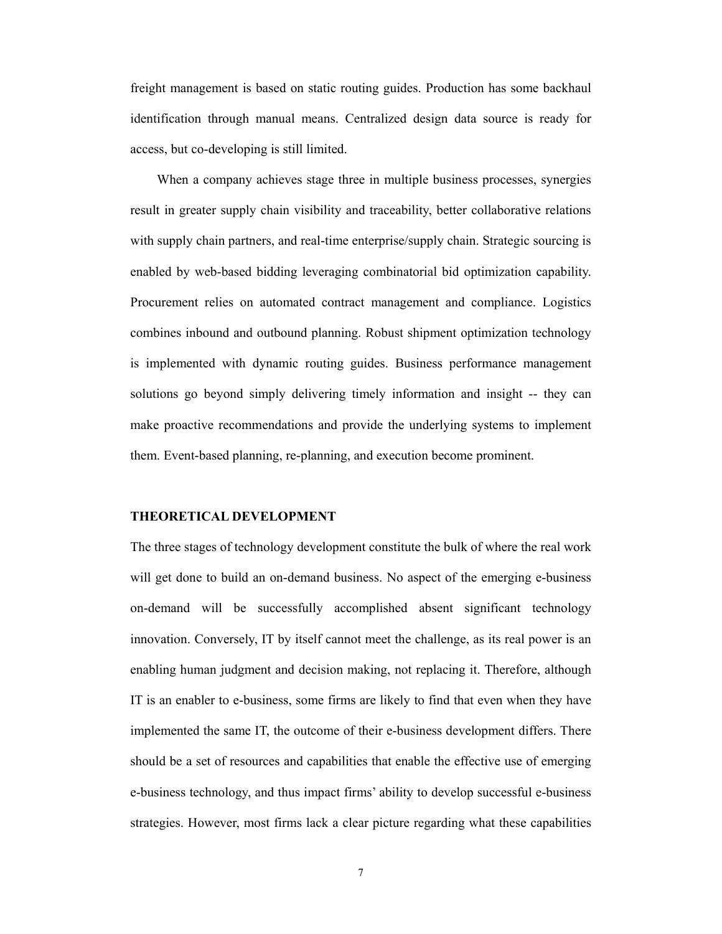freight management is based on static routing guides. Production has some backhaul identification through manual means. Centralized design data source is ready for access, but co-developing is still limited.

When a company achieves stage three in multiple business processes, synergies result in greater supply chain visibility and traceability, better collaborative relations with supply chain partners, and real-time enterprise/supply chain. Strategic sourcing is enabled by web-based bidding leveraging combinatorial bid optimization capability. Procurement relies on automated contract management and compliance. Logistics combines inbound and outbound planning. Robust shipment optimization technology is implemented with dynamic routing guides. Business performance management solutions go beyond simply delivering timely information and insight -- they can make proactive recommendations and provide the underlying systems to implement them. Event-based planning, re-planning, and execution become prominent.

### **THEORETICAL DEVELOPMENT**

The three stages of technology development constitute the bulk of where the real work will get done to build an on-demand business. No aspect of the emerging e-business on-demand will be successfully accomplished absent significant technology innovation. Conversely, IT by itself cannot meet the challenge, as its real power is an enabling human judgment and decision making, not replacing it. Therefore, although IT is an enabler to e-business, some firms are likely to find that even when they have implemented the same IT, the outcome of their e-business development differs. There should be a set of resources and capabilities that enable the effective use of emerging e-business technology, and thus impact firms' ability to develop successful e-business strategies. However, most firms lack a clear picture regarding what these capabilities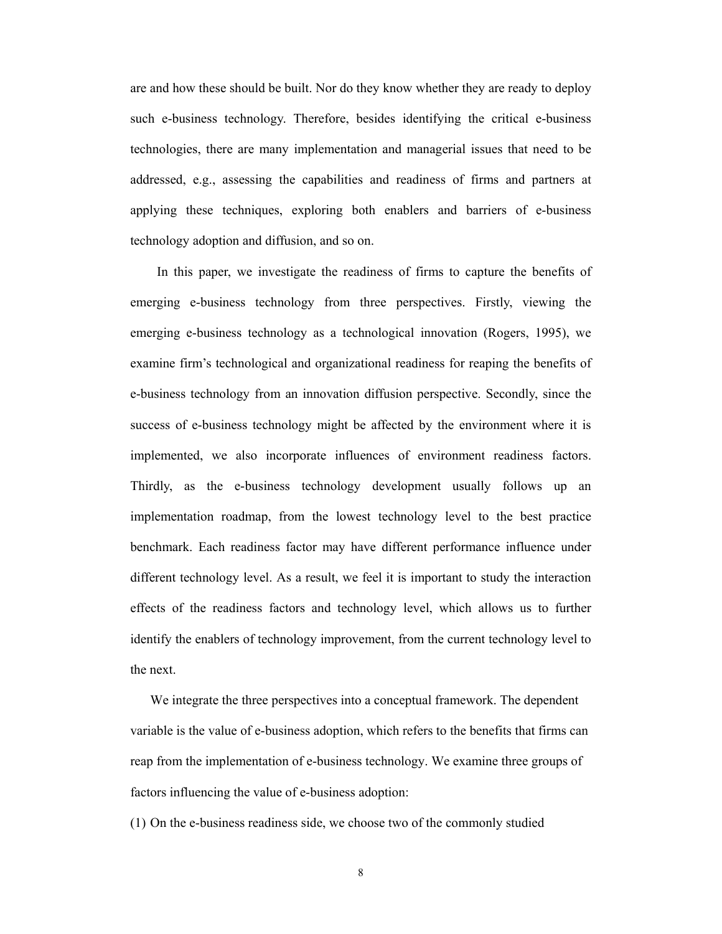are and how these should be built. Nor do they know whether they are ready to deploy such e-business technology. Therefore, besides identifying the critical e-business technologies, there are many implementation and managerial issues that need to be addressed, e.g., assessing the capabilities and readiness of firms and partners at applying these techniques, exploring both enablers and barriers of e-business technology adoption and diffusion, and so on.

In this paper, we investigate the readiness of firms to capture the benefits of emerging e-business technology from three perspectives. Firstly, viewing the emerging e-business technology as a technological innovation (Rogers, 1995), we examine firm's technological and organizational readiness for reaping the benefits of e-business technology from an innovation diffusion perspective. Secondly, since the success of e-business technology might be affected by the environment where it is implemented, we also incorporate influences of environment readiness factors. Thirdly, as the e-business technology development usually follows up an implementation roadmap, from the lowest technology level to the best practice benchmark. Each readiness factor may have different performance influence under different technology level. As a result, we feel it is important to study the interaction effects of the readiness factors and technology level, which allows us to further identify the enablers of technology improvement, from the current technology level to the next.

We integrate the three perspectives into a conceptual framework. The dependent variable is the value of e-business adoption, which refers to the benefits that firms can reap from the implementation of e-business technology. We examine three groups of factors influencing the value of e-business adoption:

(1) On the e-business readiness side, we choose two of the commonly studied

8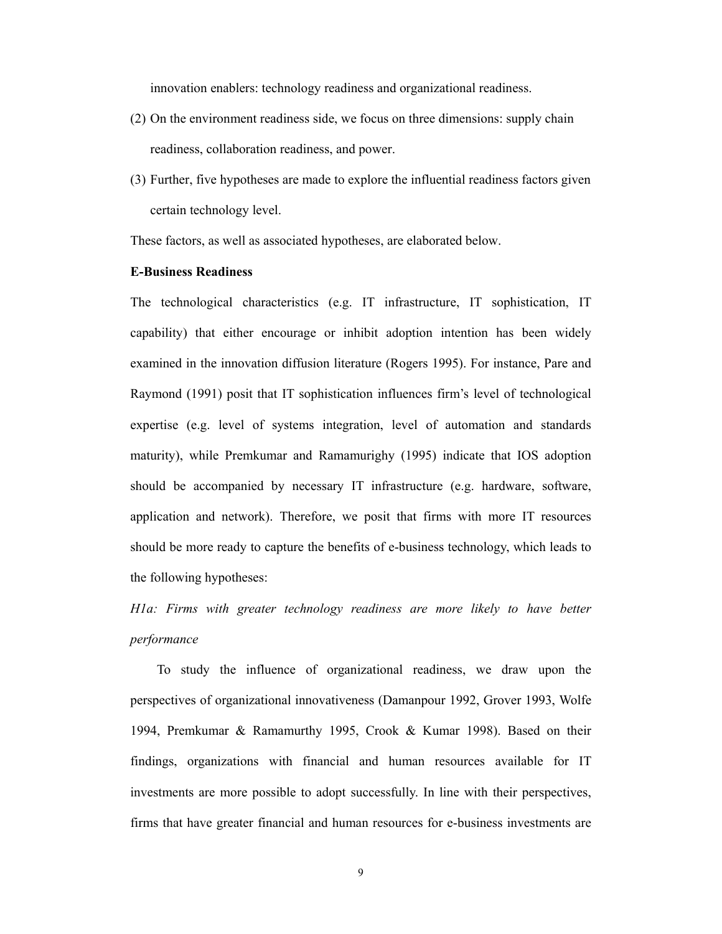innovation enablers: technology readiness and organizational readiness.

- (2) On the environment readiness side, we focus on three dimensions: supply chain readiness, collaboration readiness, and power.
- (3) Further, five hypotheses are made to explore the influential readiness factors given certain technology level.

These factors, as well as associated hypotheses, are elaborated below.

# **E-Business Readiness**

The technological characteristics (e.g. IT infrastructure, IT sophistication, IT capability) that either encourage or inhibit adoption intention has been widely examined in the innovation diffusion literature (Rogers 1995). For instance, Pare and Raymond (1991) posit that IT sophistication influences firm's level of technological expertise (e.g. level of systems integration, level of automation and standards maturity), while Premkumar and Ramamurighy (1995) indicate that IOS adoption should be accompanied by necessary IT infrastructure (e.g. hardware, software, application and network). Therefore, we posit that firms with more IT resources should be more ready to capture the benefits of e-business technology, which leads to the following hypotheses:

*H1a: Firms with greater technology readiness are more likely to have better performance* 

To study the influence of organizational readiness, we draw upon the perspectives of organizational innovativeness (Damanpour 1992, Grover 1993, Wolfe 1994, Premkumar & Ramamurthy 1995, Crook & Kumar 1998). Based on their findings, organizations with financial and human resources available for IT investments are more possible to adopt successfully. In line with their perspectives, firms that have greater financial and human resources for e-business investments are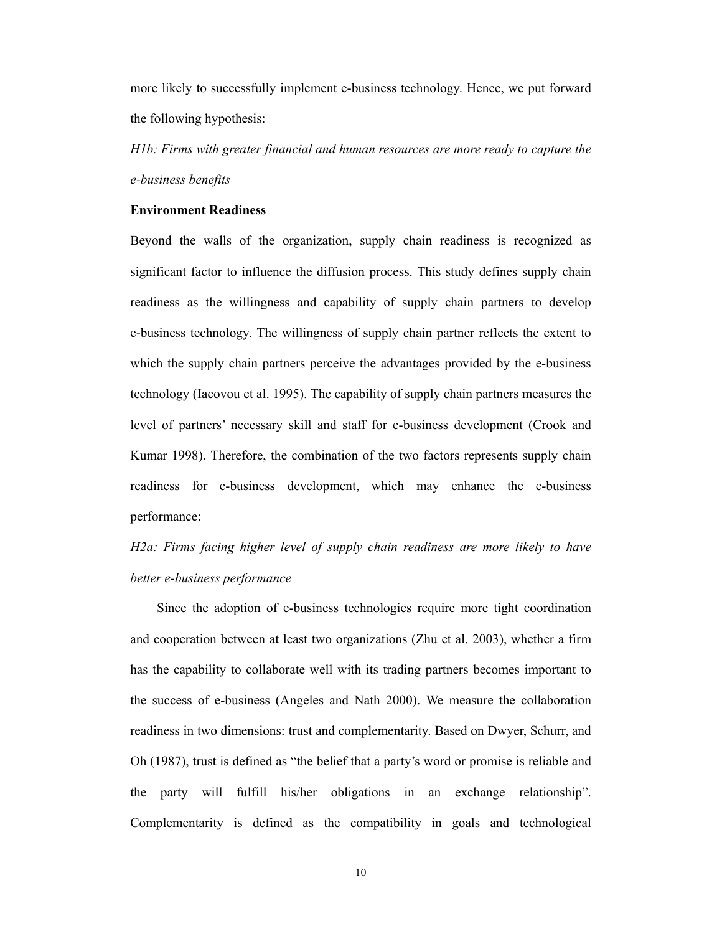more likely to successfully implement e-business technology. Hence, we put forward the following hypothesis:

*H1b: Firms with greater financial and human resources are more ready to capture the e-business benefits* 

# **Environment Readiness**

Beyond the walls of the organization, supply chain readiness is recognized as significant factor to influence the diffusion process. This study defines supply chain readiness as the willingness and capability of supply chain partners to develop e-business technology. The willingness of supply chain partner reflects the extent to which the supply chain partners perceive the advantages provided by the e-business technology (Iacovou et al. 1995). The capability of supply chain partners measures the level of partners' necessary skill and staff for e-business development (Crook and Kumar 1998). Therefore, the combination of the two factors represents supply chain readiness for e-business development, which may enhance the e-business performance:

# *H2a: Firms facing higher level of supply chain readiness are more likely to have better e-business performance*

Since the adoption of e-business technologies require more tight coordination and cooperation between at least two organizations (Zhu et al. 2003), whether a firm has the capability to collaborate well with its trading partners becomes important to the success of e-business (Angeles and Nath 2000). We measure the collaboration readiness in two dimensions: trust and complementarity. Based on Dwyer, Schurr, and Oh (1987), trust is defined as "the belief that a party's word or promise is reliable and the party will fulfill his/her obligations in an exchange relationship". Complementarity is defined as the compatibility in goals and technological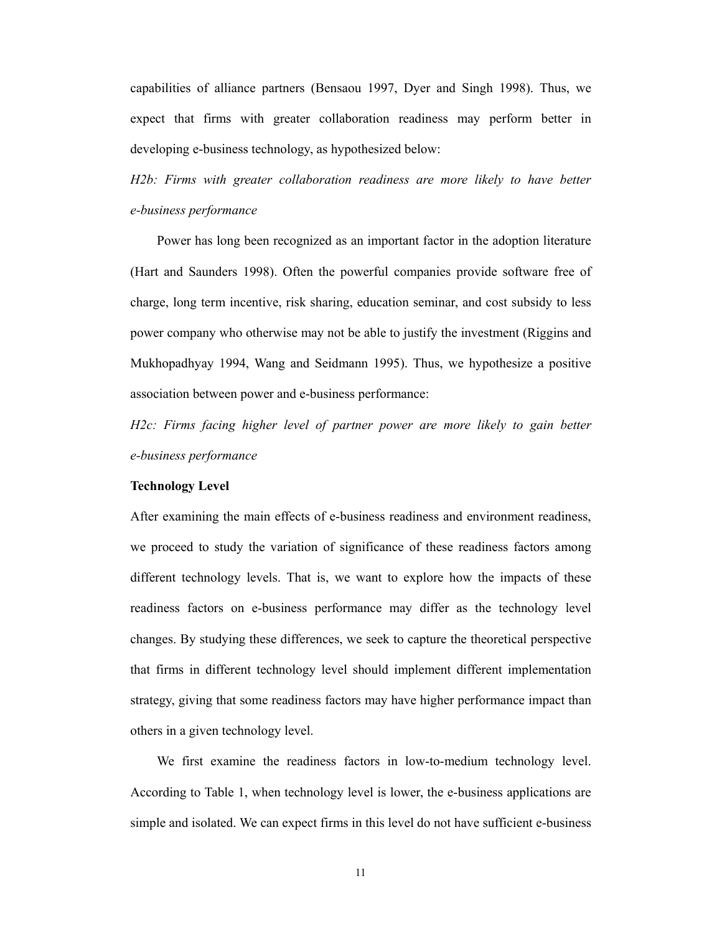capabilities of alliance partners (Bensaou 1997, Dyer and Singh 1998). Thus, we expect that firms with greater collaboration readiness may perform better in developing e-business technology, as hypothesized below:

*H2b: Firms with greater collaboration readiness are more likely to have better e-business performance* 

Power has long been recognized as an important factor in the adoption literature (Hart and Saunders 1998). Often the powerful companies provide software free of charge, long term incentive, risk sharing, education seminar, and cost subsidy to less power company who otherwise may not be able to justify the investment (Riggins and Mukhopadhyay 1994, Wang and Seidmann 1995). Thus, we hypothesize a positive association between power and e-business performance:

*H2c: Firms facing higher level of partner power are more likely to gain better e-business performance* 

#### **Technology Level**

After examining the main effects of e-business readiness and environment readiness, we proceed to study the variation of significance of these readiness factors among different technology levels. That is, we want to explore how the impacts of these readiness factors on e-business performance may differ as the technology level changes. By studying these differences, we seek to capture the theoretical perspective that firms in different technology level should implement different implementation strategy, giving that some readiness factors may have higher performance impact than others in a given technology level.

We first examine the readiness factors in low-to-medium technology level. According to Table 1, when technology level is lower, the e-business applications are simple and isolated. We can expect firms in this level do not have sufficient e-business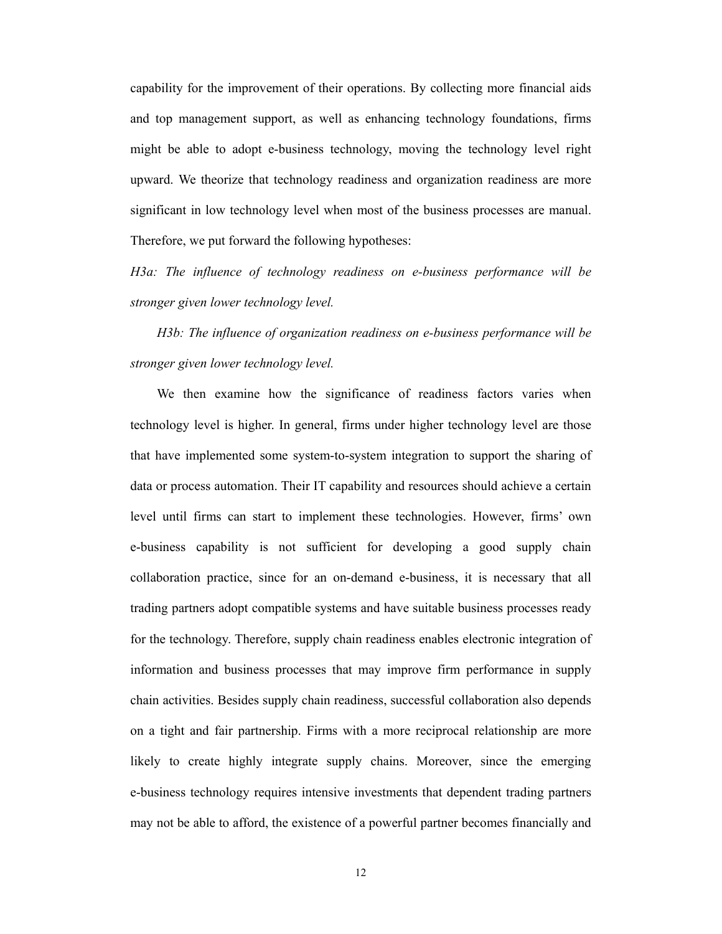capability for the improvement of their operations. By collecting more financial aids and top management support, as well as enhancing technology foundations, firms might be able to adopt e-business technology, moving the technology level right upward. We theorize that technology readiness and organization readiness are more significant in low technology level when most of the business processes are manual. Therefore, we put forward the following hypotheses:

*H3a: The influence of technology readiness on e-business performance will be stronger given lower technology level.* 

*H3b: The influence of organization readiness on e-business performance will be stronger given lower technology level.*

We then examine how the significance of readiness factors varies when technology level is higher. In general, firms under higher technology level are those that have implemented some system-to-system integration to support the sharing of data or process automation. Their IT capability and resources should achieve a certain level until firms can start to implement these technologies. However, firms' own e-business capability is not sufficient for developing a good supply chain collaboration practice, since for an on-demand e-business, it is necessary that all trading partners adopt compatible systems and have suitable business processes ready for the technology. Therefore, supply chain readiness enables electronic integration of information and business processes that may improve firm performance in supply chain activities. Besides supply chain readiness, successful collaboration also depends on a tight and fair partnership. Firms with a more reciprocal relationship are more likely to create highly integrate supply chains. Moreover, since the emerging e-business technology requires intensive investments that dependent trading partners may not be able to afford, the existence of a powerful partner becomes financially and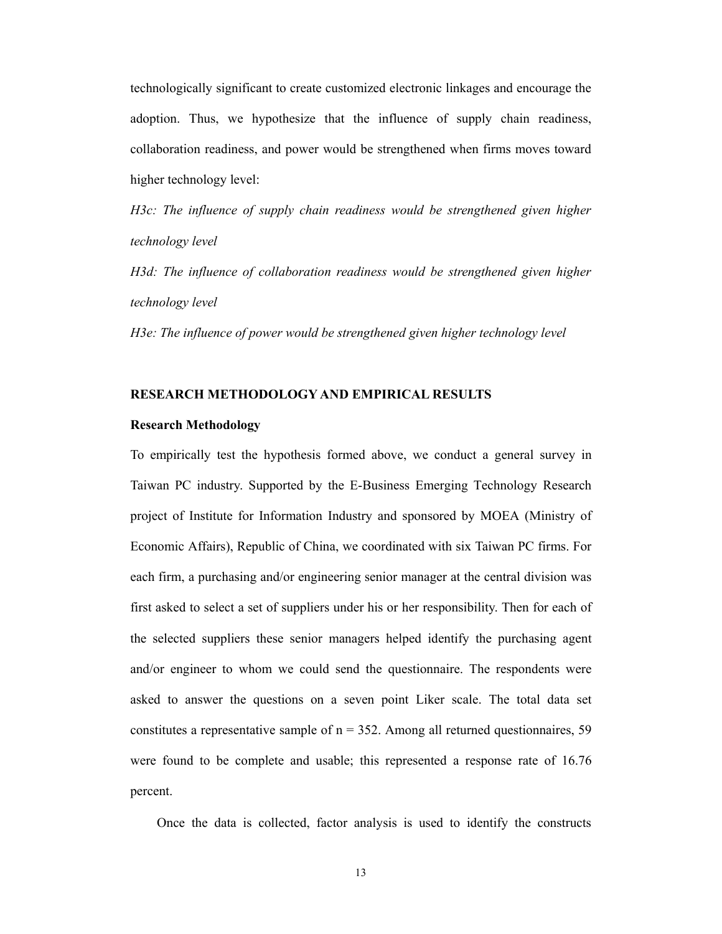technologically significant to create customized electronic linkages and encourage the adoption. Thus, we hypothesize that the influence of supply chain readiness, collaboration readiness, and power would be strengthened when firms moves toward higher technology level:

*H3c: The influence of supply chain readiness would be strengthened given higher technology level* 

*H3d: The influence of collaboration readiness would be strengthened given higher technology level* 

*H3e: The influence of power would be strengthened given higher technology level*

### **RESEARCH METHODOLOGY AND EMPIRICAL RESULTS**

### **Research Methodology**

To empirically test the hypothesis formed above, we conduct a general survey in Taiwan PC industry. Supported by the E-Business Emerging Technology Research project of Institute for Information Industry and sponsored by MOEA (Ministry of Economic Affairs), Republic of China, we coordinated with six Taiwan PC firms. For each firm, a purchasing and/or engineering senior manager at the central division was first asked to select a set of suppliers under his or her responsibility. Then for each of the selected suppliers these senior managers helped identify the purchasing agent and/or engineer to whom we could send the questionnaire. The respondents were asked to answer the questions on a seven point Liker scale. The total data set constitutes a representative sample of  $n = 352$ . Among all returned questionnaires, 59 were found to be complete and usable; this represented a response rate of 16.76 percent.

Once the data is collected, factor analysis is used to identify the constructs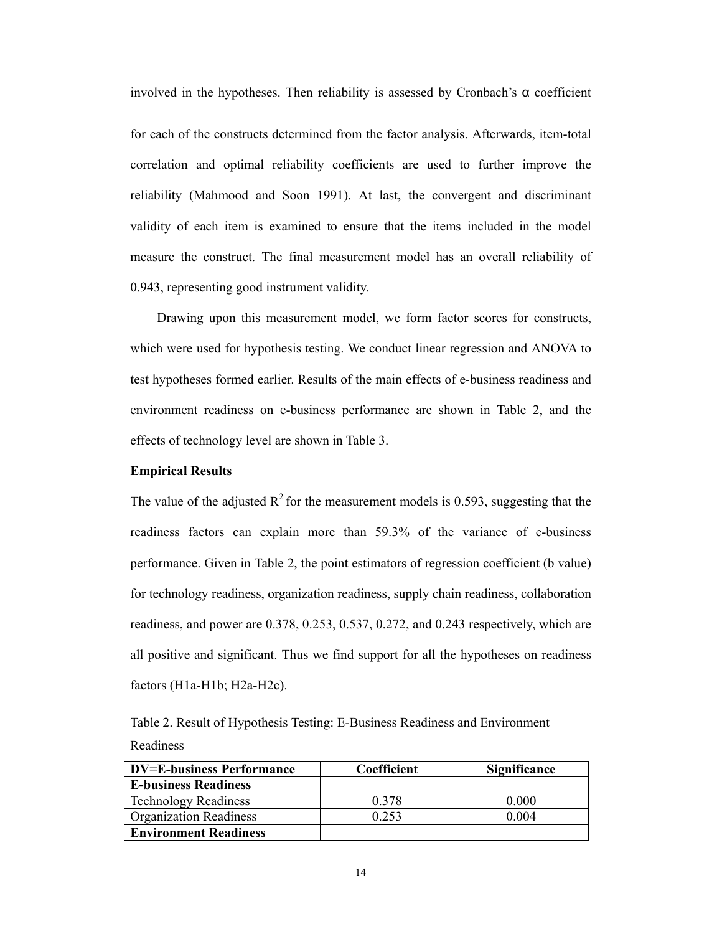involved in the hypotheses. Then reliability is assessed by Cronbach's  $\alpha$  coefficient

for each of the constructs determined from the factor analysis. Afterwards, item-total correlation and optimal reliability coefficients are used to further improve the reliability (Mahmood and Soon 1991). At last, the convergent and discriminant validity of each item is examined to ensure that the items included in the model measure the construct. The final measurement model has an overall reliability of 0.943, representing good instrument validity.

Drawing upon this measurement model, we form factor scores for constructs, which were used for hypothesis testing. We conduct linear regression and ANOVA to test hypotheses formed earlier. Results of the main effects of e-business readiness and environment readiness on e-business performance are shown in Table 2, and the effects of technology level are shown in Table 3.

### **Empirical Results**

The value of the adjusted  $R^2$  for the measurement models is 0.593, suggesting that the readiness factors can explain more than 59.3% of the variance of e-business performance. Given in Table 2, the point estimators of regression coefficient (b value) for technology readiness, organization readiness, supply chain readiness, collaboration readiness, and power are 0.378, 0.253, 0.537, 0.272, and 0.243 respectively, which are all positive and significant. Thus we find support for all the hypotheses on readiness factors (H1a-H1b; H2a-H2c).

Table 2. Result of Hypothesis Testing: E-Business Readiness and Environment Readiness

| <b>DV=E-business Performance</b> | Coefficient | <b>Significance</b> |
|----------------------------------|-------------|---------------------|
| <b>E-business Readiness</b>      |             |                     |
| <b>Technology Readiness</b>      | 0.378       | 0.000               |
| <b>Organization Readiness</b>    | 0.253       | 0.004               |
| <b>Environment Readiness</b>     |             |                     |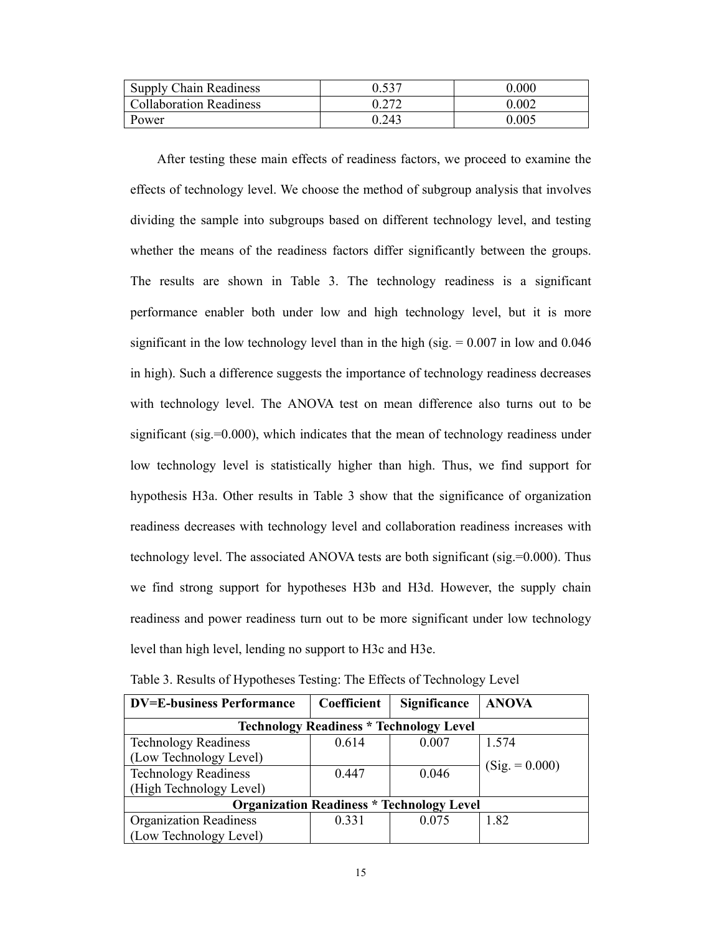| <b>Supply Chain Readiness</b>  | 0.537 | 0.000 |
|--------------------------------|-------|-------|
| <b>Collaboration Readiness</b> |       | 0.002 |
| Power                          | 0.243 | 0.005 |

After testing these main effects of readiness factors, we proceed to examine the effects of technology level. We choose the method of subgroup analysis that involves dividing the sample into subgroups based on different technology level, and testing whether the means of the readiness factors differ significantly between the groups. The results are shown in Table 3. The technology readiness is a significant performance enabler both under low and high technology level, but it is more significant in the low technology level than in the high (sig.  $= 0.007$  in low and 0.046 in high). Such a difference suggests the importance of technology readiness decreases with technology level. The ANOVA test on mean difference also turns out to be significant (sig.=0.000), which indicates that the mean of technology readiness under low technology level is statistically higher than high. Thus, we find support for hypothesis H3a. Other results in Table 3 show that the significance of organization readiness decreases with technology level and collaboration readiness increases with technology level. The associated ANOVA tests are both significant (sig.=0.000). Thus we find strong support for hypotheses H3b and H3d. However, the supply chain readiness and power readiness turn out to be more significant under low technology level than high level, lending no support to H3c and H3e.

| <b>DV=E-business Performance</b>                 | Coefficient | Significance | <b>ANOVA</b>     |  |  |
|--------------------------------------------------|-------------|--------------|------------------|--|--|
| <b>Technology Readiness * Technology Level</b>   |             |              |                  |  |  |
| <b>Technology Readiness</b>                      | 0.614       | 0.007        | 1.574            |  |  |
| (Low Technology Level)                           |             |              | $(Sig. = 0.000)$ |  |  |
| <b>Technology Readiness</b>                      | 0.447       | 0.046        |                  |  |  |
| (High Technology Level)                          |             |              |                  |  |  |
| <b>Organization Readiness * Technology Level</b> |             |              |                  |  |  |
| <b>Organization Readiness</b>                    | 0.331       | 0.075        | 1.82             |  |  |
| (Low Technology Level)                           |             |              |                  |  |  |

Table 3. Results of Hypotheses Testing: The Effects of Technology Level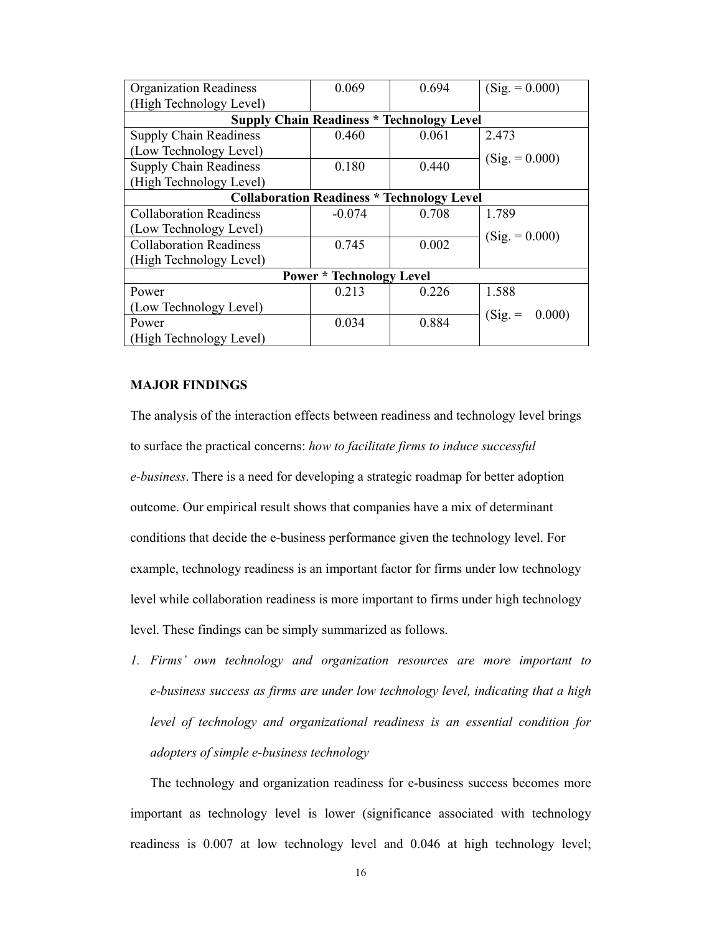| <b>Organization Readiness</b>                     | 0.069    | 0.694 | $(Sig. = 0.000)$ |  |  |
|---------------------------------------------------|----------|-------|------------------|--|--|
| (High Technology Level)                           |          |       |                  |  |  |
| <b>Supply Chain Readiness * Technology Level</b>  |          |       |                  |  |  |
| <b>Supply Chain Readiness</b>                     | 0.460    | 0.061 | 2.473            |  |  |
| (Low Technology Level)                            |          |       | $(Sig. = 0.000)$ |  |  |
| <b>Supply Chain Readiness</b>                     | 0.180    | 0.440 |                  |  |  |
| (High Technology Level)                           |          |       |                  |  |  |
| <b>Collaboration Readiness * Technology Level</b> |          |       |                  |  |  |
| <b>Collaboration Readiness</b>                    | $-0.074$ | 0.708 | 1.789            |  |  |
| (Low Technology Level)                            |          |       | $(Sig. = 0.000)$ |  |  |
| <b>Collaboration Readiness</b>                    | 0.745    | 0.002 |                  |  |  |
| (High Technology Level)                           |          |       |                  |  |  |
| <b>Power * Technology Level</b>                   |          |       |                  |  |  |
| Power                                             | 0.213    | 0.226 | 1.588            |  |  |
| (Low Technology Level)                            |          |       | 0.000)           |  |  |
| Power                                             | 0.034    | 0.884 | $(Sig. =$        |  |  |
| (High Technology Level)                           |          |       |                  |  |  |

## **MAJOR FINDINGS**

The analysis of the interaction effects between readiness and technology level brings to surface the practical concerns: *how to facilitate firms to induce successful e-business*. There is a need for developing a strategic roadmap for better adoption outcome. Our empirical result shows that companies have a mix of determinant conditions that decide the e-business performance given the technology level. For example, technology readiness is an important factor for firms under low technology level while collaboration readiness is more important to firms under high technology level. These findings can be simply summarized as follows.

*1. Firms' own technology and organization resources are more important to e-business success as firms are under low technology level, indicating that a high level of technology and organizational readiness is an essential condition for adopters of simple e-business technology* 

The technology and organization readiness for e-business success becomes more important as technology level is lower (significance associated with technology readiness is 0.007 at low technology level and 0.046 at high technology level;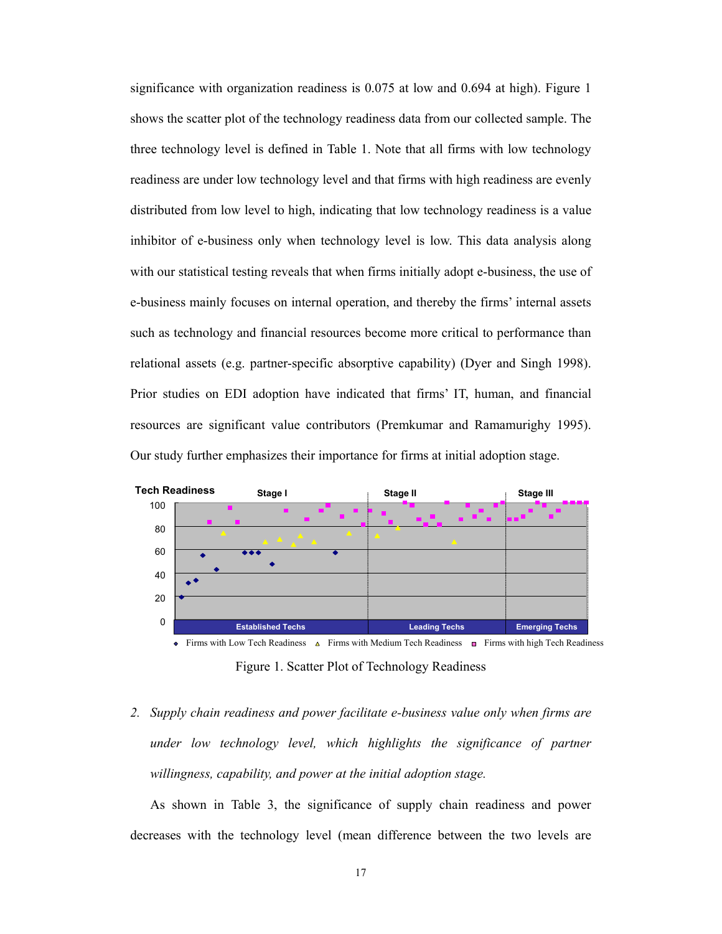significance with organization readiness is 0.075 at low and 0.694 at high). Figure 1 shows the scatter plot of the technology readiness data from our collected sample. The three technology level is defined in Table 1. Note that all firms with low technology readiness are under low technology level and that firms with high readiness are evenly distributed from low level to high, indicating that low technology readiness is a value inhibitor of e-business only when technology level is low. This data analysis along with our statistical testing reveals that when firms initially adopt e-business, the use of e-business mainly focuses on internal operation, and thereby the firms' internal assets such as technology and financial resources become more critical to performance than relational assets (e.g. partner-specific absorptive capability) (Dyer and Singh 1998). Prior studies on EDI adoption have indicated that firms' IT, human, and financial resources are significant value contributors (Premkumar and Ramamurighy 1995). Our study further emphasizes their importance for firms at initial adoption stage.



Figure 1. Scatter Plot of Technology Readiness

*2. Supply chain readiness and power facilitate e-business value only when firms are under low technology level, which highlights the significance of partner willingness, capability, and power at the initial adoption stage.* 

As shown in Table 3, the significance of supply chain readiness and power decreases with the technology level (mean difference between the two levels are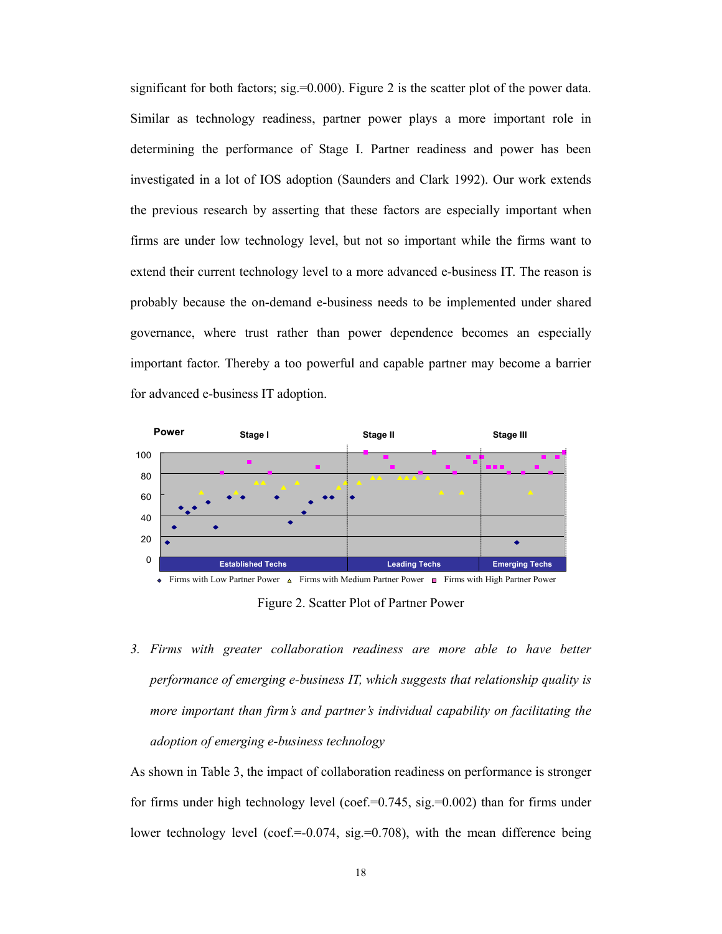significant for both factors;  $sig = 0.000$ ). Figure 2 is the scatter plot of the power data. Similar as technology readiness, partner power plays a more important role in determining the performance of Stage I. Partner readiness and power has been investigated in a lot of IOS adoption (Saunders and Clark 1992). Our work extends the previous research by asserting that these factors are especially important when firms are under low technology level, but not so important while the firms want to extend their current technology level to a more advanced e-business IT. The reason is probably because the on-demand e-business needs to be implemented under shared governance, where trust rather than power dependence becomes an especially important factor. Thereby a too powerful and capable partner may become a barrier for advanced e-business IT adoption.



Figure 2. Scatter Plot of Partner Power

*3. Firms with greater collaboration readiness are more able to have better performance of emerging e-business IT, which suggests that relationship quality is more important than firm's and partner's individual capability on facilitating the adoption of emerging e-business technology* 

As shown in Table 3, the impact of collaboration readiness on performance is stronger for firms under high technology level (coef.= $0.745$ , sig.= $0.002$ ) than for firms under lower technology level (coef.= $-0.074$ , sig.= $0.708$ ), with the mean difference being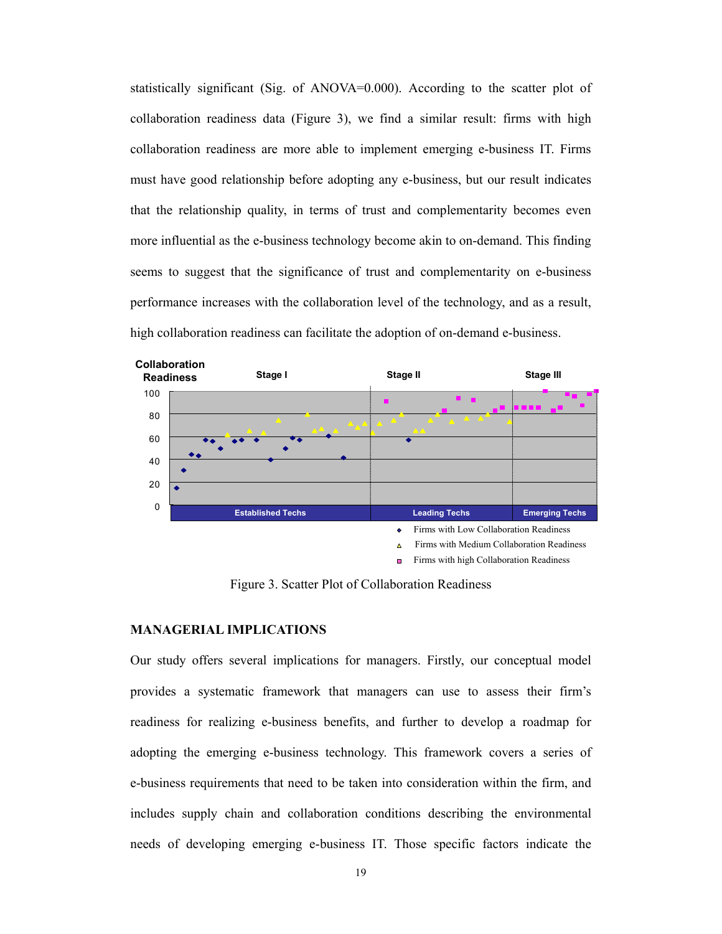statistically significant (Sig. of ANOVA=0.000). According to the scatter plot of collaboration readiness data (Figure 3), we find a similar result: firms with high collaboration readiness are more able to implement emerging e-business IT. Firms must have good relationship before adopting any e-business, but our result indicates that the relationship quality, in terms of trust and complementarity becomes even more influential as the e-business technology become akin to on-demand. This finding seems to suggest that the significance of trust and complementarity on e-business performance increases with the collaboration level of the technology, and as a result, high collaboration readiness can facilitate the adoption of on-demand e-business.



Figure 3. Scatter Plot of Collaboration Readiness

### **MANAGERIAL IMPLICATIONS**

Our study offers several implications for managers. Firstly, our conceptual model provides a systematic framework that managers can use to assess their firm's readiness for realizing e-business benefits, and further to develop a roadmap for adopting the emerging e-business technology. This framework covers a series of e-business requirements that need to be taken into consideration within the firm, and includes supply chain and collaboration conditions describing the environmental needs of developing emerging e-business IT. Those specific factors indicate the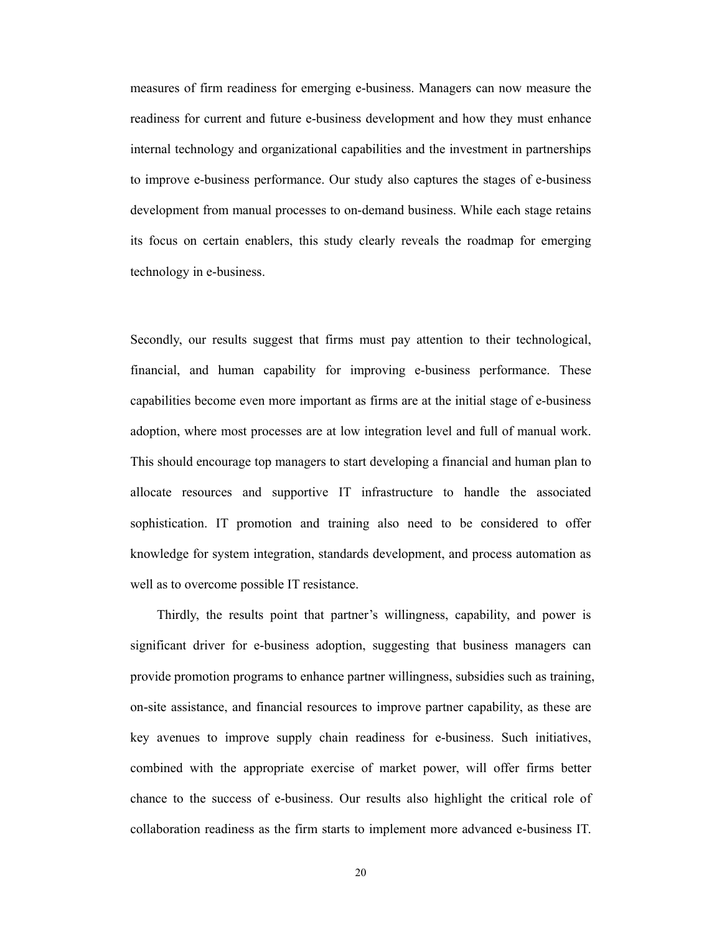measures of firm readiness for emerging e-business. Managers can now measure the readiness for current and future e-business development and how they must enhance internal technology and organizational capabilities and the investment in partnerships to improve e-business performance. Our study also captures the stages of e-business development from manual processes to on-demand business. While each stage retains its focus on certain enablers, this study clearly reveals the roadmap for emerging technology in e-business.

Secondly, our results suggest that firms must pay attention to their technological, financial, and human capability for improving e-business performance. These capabilities become even more important as firms are at the initial stage of e-business adoption, where most processes are at low integration level and full of manual work. This should encourage top managers to start developing a financial and human plan to allocate resources and supportive IT infrastructure to handle the associated sophistication. IT promotion and training also need to be considered to offer knowledge for system integration, standards development, and process automation as well as to overcome possible IT resistance.

Thirdly, the results point that partner's willingness, capability, and power is significant driver for e-business adoption, suggesting that business managers can provide promotion programs to enhance partner willingness, subsidies such as training, on-site assistance, and financial resources to improve partner capability, as these are key avenues to improve supply chain readiness for e-business. Such initiatives, combined with the appropriate exercise of market power, will offer firms better chance to the success of e-business. Our results also highlight the critical role of collaboration readiness as the firm starts to implement more advanced e-business IT.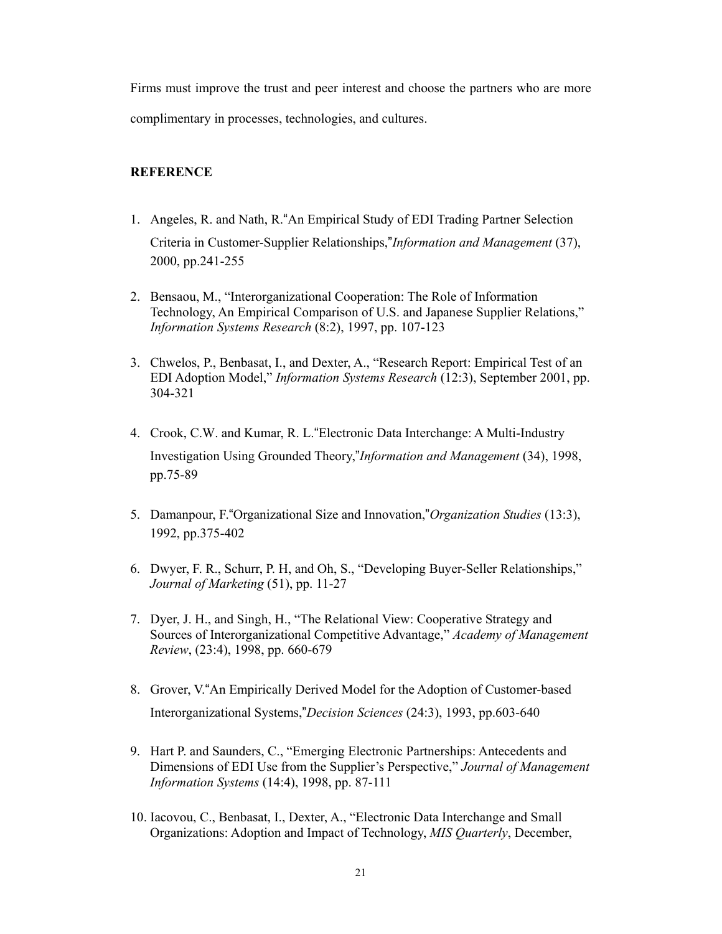Firms must improve the trust and peer interest and choose the partners who are more complimentary in processes, technologies, and cultures.

# **REFERENCE**

- 1. Angeles, R. and Nath, R."An Empirical Study of EDI Trading Partner Selection Criteria in Customer-Supplier Relationships,"*Information and Management* (37), 2000, pp.241-255
- 2. Bensaou, M., "Interorganizational Cooperation: The Role of Information Technology, An Empirical Comparison of U.S. and Japanese Supplier Relations," *Information Systems Research* (8:2), 1997, pp. 107-123
- 3. Chwelos, P., Benbasat, I., and Dexter, A., "Research Report: Empirical Test of an EDI Adoption Model," *Information Systems Research* (12:3), September 2001, pp. 304-321
- 4. Crook, C.W. and Kumar, R. L."Electronic Data Interchange: A Multi-Industry Investigation Using Grounded Theory,"*Information and Management* (34), 1998, pp.75-89
- 5. Damanpour, F."Organizational Size and Innovation,"*Organization Studies* (13:3), 1992, pp.375-402
- 6. Dwyer, F. R., Schurr, P. H, and Oh, S., "Developing Buyer-Seller Relationships," *Journal of Marketing* (51), pp. 11-27
- 7. Dyer, J. H., and Singh, H., "The Relational View: Cooperative Strategy and Sources of Interorganizational Competitive Advantage," *Academy of Management Review*, (23:4), 1998, pp. 660-679
- 8. Grover, V."An Empirically Derived Model for the Adoption of Customer-based Interorganizational Systems,"*Decision Sciences* (24:3), 1993, pp.603-640
- 9. Hart P. and Saunders, C., "Emerging Electronic Partnerships: Antecedents and Dimensions of EDI Use from the Supplier's Perspective," *Journal of Management Information Systems* (14:4), 1998, pp. 87-111
- 10. Iacovou, C., Benbasat, I., Dexter, A., "Electronic Data Interchange and Small Organizations: Adoption and Impact of Technology, *MIS Quarterly*, December,